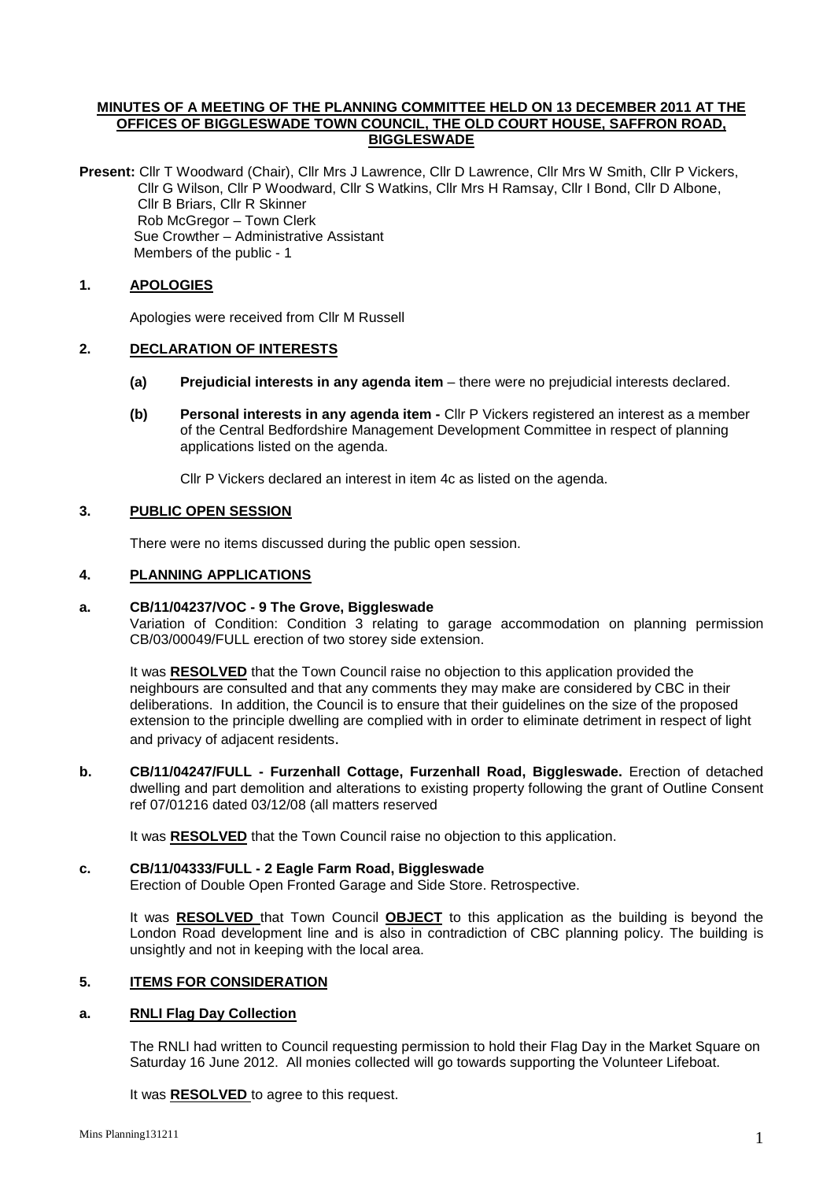### **MINUTES OF A MEETING OF THE PLANNING COMMITTEE HELD ON 13 DECEMBER 2011 AT THE OFFICES OF BIGGLESWADE TOWN COUNCIL, THE OLD COURT HOUSE, SAFFRON ROAD, BIGGLESWADE**

**Present:** Cllr T Woodward (Chair), Cllr Mrs J Lawrence, Cllr D Lawrence, Cllr Mrs W Smith, Cllr P Vickers, Cllr G Wilson, Cllr P Woodward, Cllr S Watkins, Cllr Mrs H Ramsay, Cllr I Bond, Cllr D Albone, Cllr B Briars, Cllr R Skinner Rob McGregor – Town Clerk Sue Crowther – Administrative Assistant Members of the public - 1

# **1. APOLOGIES**

Apologies were received from Cllr M Russell

## **2. DECLARATION OF INTERESTS**

- **(a) Prejudicial interests in any agenda item** there were no prejudicial interests declared.
- **(b) Personal interests in any agenda item -** Cllr P Vickers registered an interest as a member of the Central Bedfordshire Management Development Committee in respect of planning applications listed on the agenda.

Cllr P Vickers declared an interest in item 4c as listed on the agenda.

## **3. PUBLIC OPEN SESSION**

There were no items discussed during the public open session.

### **4. PLANNING APPLICATIONS**

#### **a. CB/11/04237/VOC - 9 The Grove, Biggleswade**

Variation of Condition: Condition 3 relating to garage accommodation on planning permission CB/03/00049/FULL erection of two storey side extension.

It was **RESOLVED** that the Town Council raise no objection to this application provided the neighbours are consulted and that any comments they may make are considered by CBC in their deliberations. In addition, the Council is to ensure that their guidelines on the size of the proposed extension to the principle dwelling are complied with in order to eliminate detriment in respect of light and privacy of adjacent residents.

**b. CB/11/04247/FULL - Furzenhall Cottage, Furzenhall Road, Biggleswade.** Erection of detached dwelling and part demolition and alterations to existing property following the grant of Outline Consent ref 07/01216 dated 03/12/08 (all matters reserved

It was **RESOLVED** that the Town Council raise no objection to this application.

## **c. CB/11/04333/FULL - 2 Eagle Farm Road, Biggleswade**

Erection of Double Open Fronted Garage and Side Store. Retrospective.

It was **RESOLVED** that Town Council **OBJECT** to this application as the building is beyond the London Road development line and is also in contradiction of CBC planning policy. The building is unsightly and not in keeping with the local area.

## **5. ITEMS FOR CONSIDERATION**

## **a. RNLI Flag Day Collection**

The RNLI had written to Council requesting permission to hold their Flag Day in the Market Square on Saturday 16 June 2012. All monies collected will go towards supporting the Volunteer Lifeboat.

It was **RESOLVED** to agree to this request.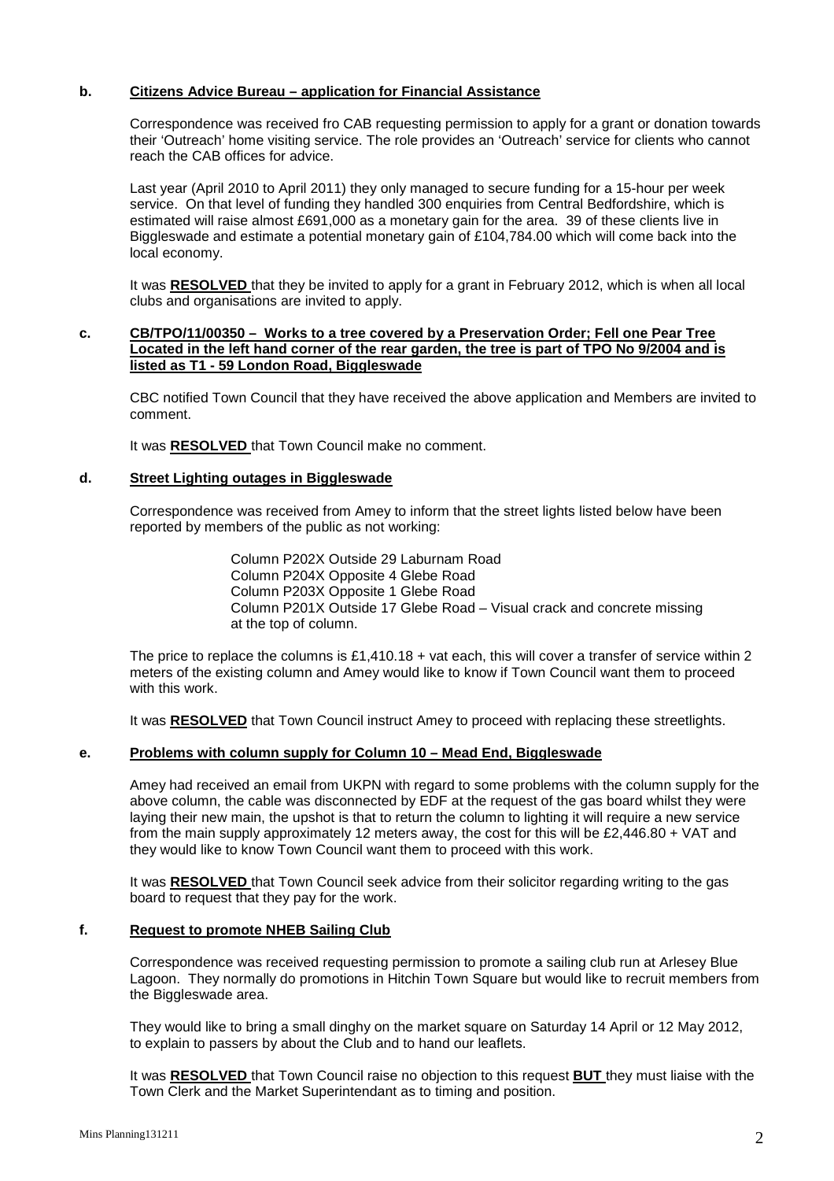### **b. Citizens Advice Bureau – application for Financial Assistance**

Correspondence was received fro CAB requesting permission to apply for a grant or donation towards their 'Outreach' home visiting service. The role provides an 'Outreach' service for clients who cannot reach the CAB offices for advice.

Last year (April 2010 to April 2011) they only managed to secure funding for a 15-hour per week service. On that level of funding they handled 300 enquiries from Central Bedfordshire, which is estimated will raise almost £691,000 as a monetary gain for the area. 39 of these clients live in Biggleswade and estimate a potential monetary gain of £104,784.00 which will come back into the local economy.

It was **RESOLVED** that they be invited to apply for a grant in February 2012, which is when all local clubs and organisations are invited to apply.

#### **c. CB/TPO/11/00350 – Works to a tree covered by a Preservation Order; Fell one Pear Tree Located in the left hand corner of the rear garden, the tree is part of TPO No 9/2004 and is listed as T1 - 59 London Road, Biggleswade**

CBC notified Town Council that they have received the above application and Members are invited to comment.

It was **RESOLVED** that Town Council make no comment.

### **d. Street Lighting outages in Biggleswade**

Correspondence was received from Amey to inform that the street lights listed below have been reported by members of the public as not working:

> Column P202X Outside 29 Laburnam Road Column P204X Opposite 4 Glebe Road Column P203X Opposite 1 Glebe Road Column P201X Outside 17 Glebe Road – Visual crack and concrete missing at the top of column.

The price to replace the columns is £1,410.18 + vat each, this will cover a transfer of service within 2 meters of the existing column and Amey would like to know if Town Council want them to proceed with this work.

It was **RESOLVED** that Town Council instruct Amey to proceed with replacing these streetlights.

#### **e. Problems with column supply for Column 10 – Mead End, Biggleswade**

Amey had received an email from UKPN with regard to some problems with the column supply for the above column, the cable was disconnected by EDF at the request of the gas board whilst they were laying their new main, the upshot is that to return the column to lighting it will require a new service from the main supply approximately 12 meters away, the cost for this will be £2,446.80 + VAT and they would like to know Town Council want them to proceed with this work.

It was **RESOLVED** that Town Council seek advice from their solicitor regarding writing to the gas board to request that they pay for the work.

### **f. Request to promote NHEB Sailing Club**

Correspondence was received requesting permission to promote a sailing club run at Arlesey Blue Lagoon. They normally do promotions in Hitchin Town Square but would like to recruit members from the Biggleswade area.

They would like to bring a small dinghy on the market square on Saturday 14 April or 12 May 2012, to explain to passers by about the Club and to hand our leaflets.

It was **RESOLVED** that Town Council raise no objection to this request **BUT** they must liaise with the Town Clerk and the Market Superintendant as to timing and position.